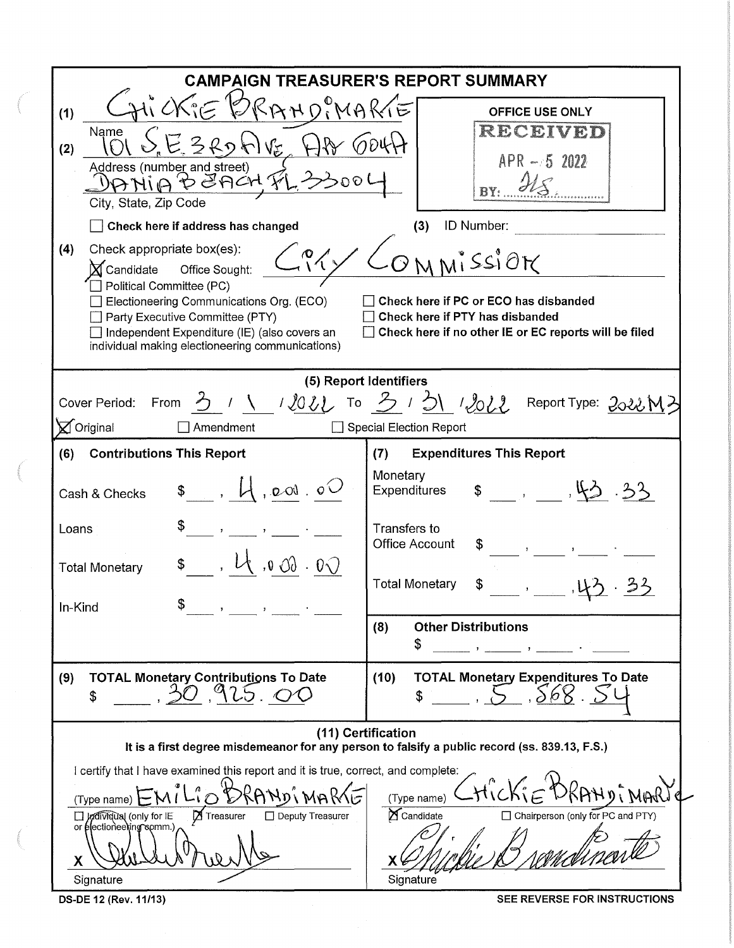|                                                                                                                                                                                                                                                                                                                                                                                                                                                                                                                         | <b>CAMPAIGN TREASURER'S REPORT SUMMARY</b>                                                                                                                                                          |  |  |  |  |  |
|-------------------------------------------------------------------------------------------------------------------------------------------------------------------------------------------------------------------------------------------------------------------------------------------------------------------------------------------------------------------------------------------------------------------------------------------------------------------------------------------------------------------------|-----------------------------------------------------------------------------------------------------------------------------------------------------------------------------------------------------|--|--|--|--|--|
| $\bigwedge^{\!\!\!\!\!\!\!\!\circ\,}$ $\subset$<br>$R$ $N$ $N$ $R$<br>(1)<br>Name<br>(2)<br>Address (number and street)<br>$\Theta$ Anch $\mathcal Y$<br>৺>১০<br>City, State, Zip Code                                                                                                                                                                                                                                                                                                                                  | <b>OFFICE USE ONLY</b><br>RECEIVED<br>$APR - 52022$                                                                                                                                                 |  |  |  |  |  |
| Check here if address has changed<br>ID Number:<br>(3)<br>Check appropriate box(es):<br>(4)<br>$\infty$<br>$M_1$ SSIOT<br>$\bm{\Sigma}$ Candidate<br>Office Sought:<br>Political Committee (PC)<br>Check here if PC or ECO has disbanded<br>Electioneering Communications Org. (ECO)<br>Check here if PTY has disbanded<br>Party Executive Committee (PTY)<br>Check here if no other IE or EC reports will be filed<br>Independent Expenditure (IE) (also covers an<br>individual making electioneering communications) |                                                                                                                                                                                                     |  |  |  |  |  |
| (5) Report Identifiers<br>ろ / \ / loll To 3 / 5\ / loll Report Type: 2022M3<br>Cover Period:<br>From<br>$\boxtimes$ Original<br>Amendment<br><b>Special Election Report</b>                                                                                                                                                                                                                                                                                                                                             |                                                                                                                                                                                                     |  |  |  |  |  |
| (6)<br><b>Contributions This Report</b><br>200.00<br>Cash & Checks                                                                                                                                                                                                                                                                                                                                                                                                                                                      | <b>Expenditures This Report</b><br>(7)<br>Monetary<br>1, 1, 1, 1, 2, 3<br>\$<br><b>Expenditures</b>                                                                                                 |  |  |  |  |  |
| \$<br>Loans<br>\$<br>$0 \, \delta \delta \cdot 0 \, \delta$<br><b>Total Monetary</b><br>In-Kind                                                                                                                                                                                                                                                                                                                                                                                                                         | <b>Transfers to</b><br><b>Office Account</b><br>\$<br><b>Total Monetary</b><br>\$<br><b>Other Distributions</b><br>(8)                                                                              |  |  |  |  |  |
| <b>TOTAL Monetary Contributions To Date</b><br>(9)<br>\$                                                                                                                                                                                                                                                                                                                                                                                                                                                                | \$<br><b>TOTAL Monetary Expenditures To Date</b><br>(10)                                                                                                                                            |  |  |  |  |  |
| I certify that I have examined this report and it is true, correct, and complete:<br>(Type name)<br>Treasurer<br>□ Deputy Treasurer<br>Arcividual (only for IE<br>or electioneering somm.)<br>X<br>Signature                                                                                                                                                                                                                                                                                                            | (11) Certification<br>It is a first degree misdemeanor for any person to falsify a public record (ss. 839.13, F.S.)<br>(Type name)<br>Candidate<br>□ Chairperson (only for PC and PTY)<br>Signature |  |  |  |  |  |

OS-DE 12 (Rev. 11/13) SEE REVERSE FOR INSTRUCTIONS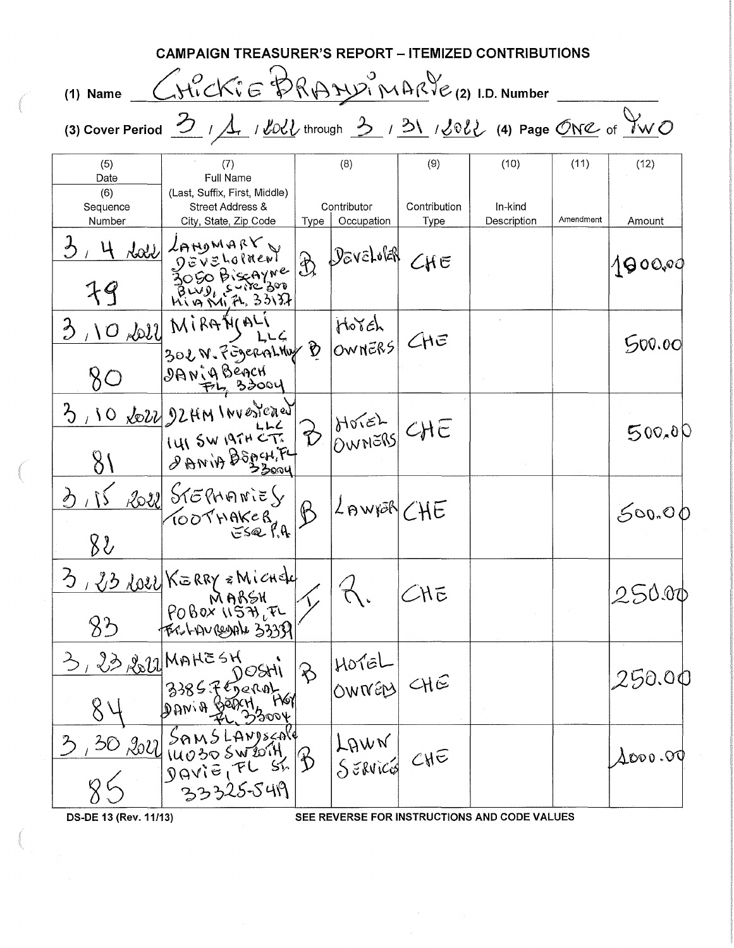| CAMPAIGN TREASURER'S REPORT – ITEMIZED CONTRIBUTIONS                                                                                                       |                                                                            |                            |                                                              |                      |                        |           |                  |  |  |
|------------------------------------------------------------------------------------------------------------------------------------------------------------|----------------------------------------------------------------------------|----------------------------|--------------------------------------------------------------|----------------------|------------------------|-----------|------------------|--|--|
| Gricki E BRAZUI MARVE (2) I.D. Number<br>$(1)$ Name                                                                                                        |                                                                            |                            |                                                              |                      |                        |           |                  |  |  |
| (3) Cover Period $\frac{3}{2}$ / $\frac{1}{2}$ / $\frac{1}{20}$ through $\frac{3}{2}$ / $\frac{31}{20}$ / $\frac{1}{20}$ (4) Page ONC of $\frac{9}{2}$ (1) |                                                                            |                            |                                                              |                      |                        |           |                  |  |  |
| (5)<br>Date                                                                                                                                                | (7)<br>Full Name                                                           |                            | (8)                                                          | (9)                  | (10)                   | (11)      | (12)             |  |  |
| (6)<br>Sequence<br>Number                                                                                                                                  | (Last, Suffix, First, Middle)<br>Street Address &<br>City, State, Zip Code | Type                       | Contributor<br>Occupation                                    | Contribution<br>Type | In-kind<br>Description | Amendment | Amount           |  |  |
| 79                                                                                                                                                         | <b>Loll</b> Langwark<br>DEVELOPIENT<br>3050 Biscovne<br>Riventi 33137      | $\mathcal{L}$              | DeveLolar                                                    | CHE                  |                        |           | 100000           |  |  |
| 80                                                                                                                                                         | $3,10,101$ MiRAN $122$<br>DANIABEACH                                       | $\mathfrak{D}$             | Horch<br>OWNERS                                              | CHE                  |                        |           | 500.00           |  |  |
| $\mathcal{E}$<br>81                                                                                                                                        | 10 LOZZ 22 HM INVESTEDENT<br>I'LLISW 19TH CT.<br><b>DANIA BEACHIFL</b>     | $\beta$                    | $\begin{bmatrix} \text{Morse} \\ \text{OMNES} \end{bmatrix}$ | CHE                  |                        |           | 500,00           |  |  |
| $\lambda$<br>82                                                                                                                                            | 2022 STEPHANIES<br>TOOTHAKER                                               | $\mathfrak{B}$             | $ L$ AWYOR CHE                                               |                      |                        |           | 500.00           |  |  |
| 83                                                                                                                                                         | 3, 23 LOZE KERRY & Michele<br>$ $ POBOX USALEL<br>FERN-AVREDAL 3335A       |                            |                                                              | CHE                  |                        |           | 250.00           |  |  |
| 3, 23, 2011 MAHESH<br>84                                                                                                                                   | MAHC 311 DOSHI<br>B385 Fergral<br>DANIA BEDCH, MA                          | $ \hat{\mathbf{\varphi}} $ | HOTEL<br>OWNEN                                               | CHE                  |                        |           | 250.00           |  |  |
| $\mathcal{Z}$                                                                                                                                              | 33325-5419                                                                 |                            | LAWN<br>SERVICE CHE                                          |                      |                        |           | $\lambda$ 000.00 |  |  |
|                                                                                                                                                            |                                                                            |                            |                                                              |                      |                        |           |                  |  |  |

OS-DE 13 (Rev. 11/13) SEE REVERSE FOR INSTRUCTIONS AND CODE VALUES

 $\sim 10^7$